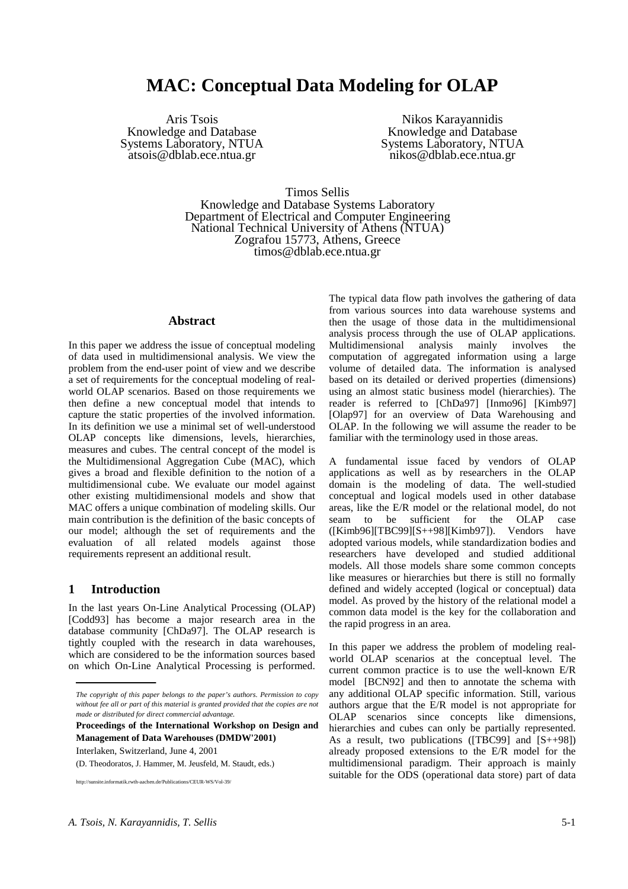# **MAC: Conceptual Data Modeling for OLAP**

Aris Tsois Knowledge and Database Systems Laboratory, NTUA atsois@dblab.ece.ntua.gr

Nikos Karayannidis Knowledge and Database Systems Laboratory, NTUA nikos@dblab.ece.ntua.gr

Timos Sellis

Knowledge and Database Systems Laboratory Department of Electrical and Computer Engineering National Technical University of Athens (NTUA) Zografou 15773, Athens, Greece timos@dblab.ece.ntua.gr

## **Abstract**

In this paper we address the issue of conceptual modeling of data used in multidimensional analysis. We view the problem from the end-user point of view and we describe a set of requirements for the conceptual modeling of realworld OLAP scenarios. Based on those requirements we then define a new conceptual model that intends to capture the static properties of the involved information. In its definition we use a minimal set of well-understood OLAP concepts like dimensions, levels, hierarchies, measures and cubes. The central concept of the model is the Multidimensional Aggregation Cube (MAC), which gives a broad and flexible definition to the notion of a multidimensional cube. We evaluate our model against other existing multidimensional models and show that MAC offers a unique combination of modeling skills. Our main contribution is the definition of the basic concepts of our model; although the set of requirements and the evaluation of all related models against those requirements represent an additional result.

#### **1 Introduction**

In the last years On-Line Analytical Processing (OLAP) [Codd93] has become a major research area in the database community [ChDa97]. The OLAP research is tightly coupled with the research in data warehouses, which are considered to be the information sources based on which On-Line Analytical Processing is performed.

**Proceedings of the International Workshop on Design and Management of Data Warehouses (DMDW'2001)**  Interlaken, Switzerland, June 4, 2001

(D. Theodoratos, J. Hammer, M. Jeusfeld, M. Staudt, eds.)

//sunsite.informatik.rwth-aachen.de/Publications/CEUR-WS/Vol-39/

The typical data flow path involves the gathering of data from various sources into data warehouse systems and then the usage of those data in the multidimensional analysis process through the use of OLAP applications. Multidimensional analysis mainly involves the computation of aggregated information using a large volume of detailed data. The information is analysed based on its detailed or derived properties (dimensions) using an almost static business model (hierarchies). The reader is referred to [ChDa97] [Inmo96] [Kimb97] [Olap97] for an overview of Data Warehousing and OLAP. In the following we will assume the reader to be familiar with the terminology used in those areas.

A fundamental issue faced by vendors of OLAP applications as well as by researchers in the OLAP domain is the modeling of data. The well-studied conceptual and logical models used in other database areas, like the E/R model or the relational model, do not seam to be sufficient for the OLAP case  $([Kimb96] [TBC99] [S++98] [Kimb97]).$  Vendors have adopted various models, while standardization bodies and researchers have developed and studied additional models. All those models share some common concepts like measures or hierarchies but there is still no formally defined and widely accepted (logical or conceptual) data model. As proved by the history of the relational model a common data model is the key for the collaboration and the rapid progress in an area.

In this paper we address the problem of modeling realworld OLAP scenarios at the conceptual level. The current common practice is to use the well-known E/R model [BCN92] and then to annotate the schema with any additional OLAP specific information. Still, various authors argue that the E/R model is not appropriate for OLAP scenarios since concepts like dimensions, hierarchies and cubes can only be partially represented. As a result, two publications ( $[TBC99]$  and  $[S++98]$ ) already proposed extensions to the E/R model for the multidimensional paradigm. Their approach is mainly suitable for the ODS (operational data store) part of data

*The copyright of this paper belongs to the paper's authors. Permission to copy* without fee all or part of this material is granted provided that the copies are not *made or distributed for direct commercial advantage.*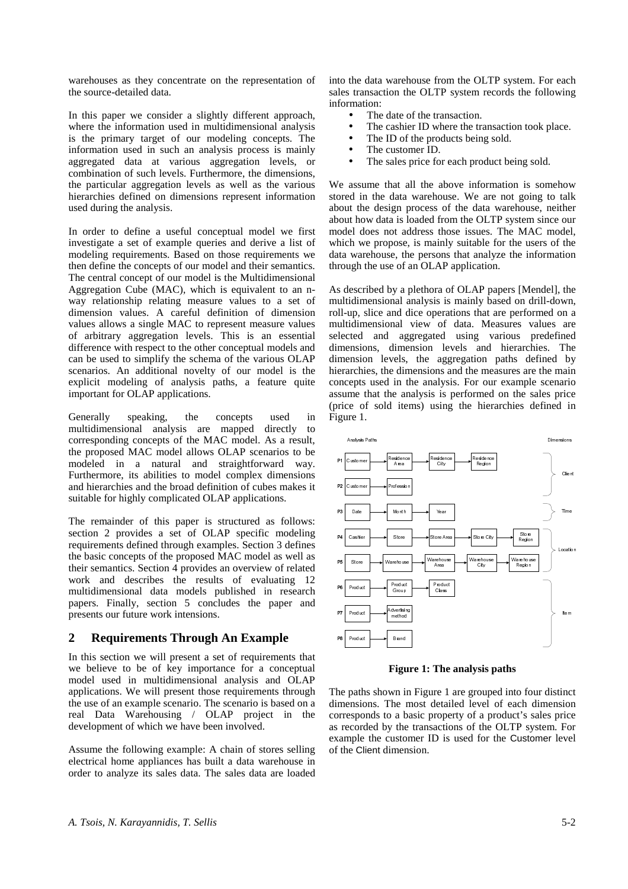warehouses as they concentrate on the representation of the source-detailed data.

In this paper we consider a slightly different approach, where the information used in multidimensional analysis is the primary target of our modeling concepts. The information used in such an analysis process is mainly aggregated data at various aggregation levels, or combination of such levels. Furthermore, the dimensions, the particular aggregation levels as well as the various hierarchies defined on dimensions represent information used during the analysis.

In order to define a useful conceptual model we first investigate a set of example queries and derive a list of modeling requirements. Based on those requirements we then define the concepts of our model and their semantics. The central concept of our model is the Multidimensional Aggregation Cube (MAC), which is equivalent to an nway relationship relating measure values to a set of dimension values. A careful definition of dimension values allows a single MAC to represent measure values of arbitrary aggregation levels. This is an essential difference with respect to the other conceptual models and can be used to simplify the schema of the various OLAP scenarios. An additional novelty of our model is the explicit modeling of analysis paths, a feature quite important for OLAP applications.

Generally speaking, the concepts used in multidimensional analysis are mapped directly to corresponding concepts of the MAC model. As a result, the proposed MAC model allows OLAP scenarios to be modeled in a natural and straightforward way. Furthermore, its abilities to model complex dimensions and hierarchies and the broad definition of cubes makes it suitable for highly complicated OLAP applications.

The remainder of this paper is structured as follows: section 2 provides a set of OLAP specific modeling requirements defined through examples. Section 3 defines the basic concepts of the proposed MAC model as well as their semantics. Section 4 provides an overview of related work and describes the results of evaluating 12 multidimensional data models published in research papers. Finally, section 5 concludes the paper and presents our future work intensions.

# **2 Requirements Through An Example**

In this section we will present a set of requirements that we believe to be of key importance for a conceptual model used in multidimensional analysis and OLAP applications. We will present those requirements through the use of an example scenario. The scenario is based on a real Data Warehousing / OLAP project in the development of which we have been involved.

Assume the following example: A chain of stores selling electrical home appliances has built a data warehouse in order to analyze its sales data. The sales data are loaded

into the data warehouse from the OLTP system. For each sales transaction the OLTP system records the following information:

- The date of the transaction.
- The cashier ID where the transaction took place.
- The ID of the products being sold.
- The customer ID.
- The sales price for each product being sold.

We assume that all the above information is somehow stored in the data warehouse. We are not going to talk about the design process of the data warehouse, neither about how data is loaded from the OLTP system since our model does not address those issues. The MAC model, which we propose, is mainly suitable for the users of the data warehouse, the persons that analyze the information through the use of an OLAP application.

As described by a plethora of OLAP papers [Mendel], the multidimensional analysis is mainly based on drill-down, roll-up, slice and dice operations that are performed on a multidimensional view of data. Measures values are selected and aggregated using various predefined dimensions, dimension levels and hierarchies. The dimension levels, the aggregation paths defined by hierarchies, the dimensions and the measures are the main concepts used in the analysis. For our example scenario assume that the analysis is performed on the sales price (price of sold items) using the hierarchies defined in Figure 1.



**Figure 1: The analysis paths** 

The paths shown in Figure 1 are grouped into four distinct dimensions. The most detailed level of each dimension corresponds to a basic property of a product's sales price as recorded by the transactions of the OLTP system. For example the customer ID is used for the Customer level of the Client dimension.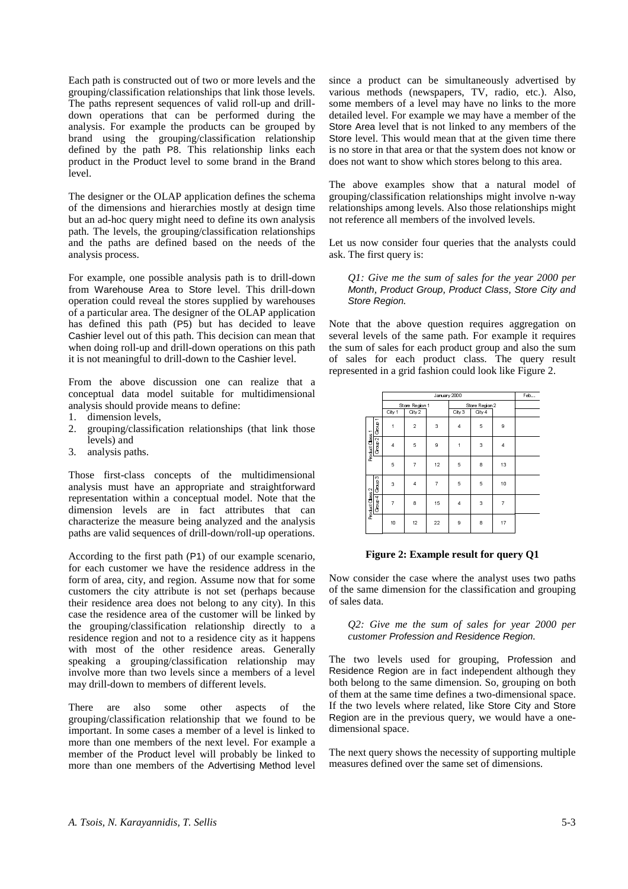Each path is constructed out of two or more levels and the grouping/classification relationships that link those levels. The paths represent sequences of valid roll-up and drilldown operations that can be performed during the analysis. For example the products can be grouped by brand using the grouping/classification relationship defined by the path P8. This relationship links each product in the Product level to some brand in the Brand level.

The designer or the OLAP application defines the schema of the dimensions and hierarchies mostly at design time but an ad-hoc query might need to define its own analysis path. The levels, the grouping/classification relationships and the paths are defined based on the needs of the analysis process.

For example, one possible analysis path is to drill-down from Warehouse Area to Store level. This drill-down operation could reveal the stores supplied by warehouses of a particular area. The designer of the OLAP application has defined this path (P5) but has decided to leave Cashier level out of this path. This decision can mean that when doing roll-up and drill-down operations on this path it is not meaningful to drill-down to the Cashier level.

From the above discussion one can realize that a conceptual data model suitable for multidimensional analysis should provide means to define:

- 1. dimension levels,
- 2. grouping/classification relationships (that link those levels) and
- 3. analysis paths.

Those first-class concepts of the multidimensional analysis must have an appropriate and straightforward representation within a conceptual model. Note that the dimension levels are in fact attributes that can characterize the measure being analyzed and the analysis paths are valid sequences of drill-down/roll-up operations.

According to the first path (P1) of our example scenario, for each customer we have the residence address in the form of area, city, and region. Assume now that for some customers the city attribute is not set (perhaps because their residence area does not belong to any city). In this case the residence area of the customer will be linked by the grouping/classification relationship directly to a residence region and not to a residence city as it happens with most of the other residence areas. Generally speaking a grouping/classification relationship may involve more than two levels since a members of a level may drill-down to members of different levels.

There are also some other aspects of the grouping/classification relationship that we found to be important. In some cases a member of a level is linked to more than one members of the next level. For example a member of the Product level will probably be linked to more than one members of the Advertising Method level

since a product can be simultaneously advertised by various methods (newspapers, TV, radio, etc.). Also, some members of a level may have no links to the more detailed level. For example we may have a member of the Store Area level that is not linked to any members of the Store level. This would mean that at the given time there is no store in that area or that the system does not know or does not want to show which stores belong to this area.

The above examples show that a natural model of grouping/classification relationships might involve n-way relationships among levels. Also those relationships might not reference all members of the involved levels.

Let us now consider four queries that the analysts could ask. The first query is:

*Q1: Give me the sum of sales for the year 2000 per*  Month*,* Product Group*,* Product Class*,* Store City *and*  Store Region*.* 

Note that the above question requires aggregation on several levels of the same path. For example it requires the sum of sales for each product group and also the sum of sales for each product class. The query result represented in a grid fashion could look like Figure 2.

|                                                                                                                                                                                                                                                                                                     |                 |                 | January 2000     |                |                |                  |   |                | Feb                                     |  |
|-----------------------------------------------------------------------------------------------------------------------------------------------------------------------------------------------------------------------------------------------------------------------------------------------------|-----------------|-----------------|------------------|----------------|----------------|------------------|---|----------------|-----------------------------------------|--|
|                                                                                                                                                                                                                                                                                                     |                 |                 |                  | Store Region 1 |                | Store Region 2   |   |                |                                         |  |
|                                                                                                                                                                                                                                                                                                     |                 |                 | City 1<br>City 2 |                |                | City 3<br>City 4 |   |                |                                         |  |
|                                                                                                                                                                                                                                                                                                     | Product Class 1 |                 | $\mathbf{1}$     | 2              | 3              | $\overline{4}$   | 5 | 9              |                                         |  |
|                                                                                                                                                                                                                                                                                                     |                 | Group 2 Group   | $\overline{4}$   | 5              | 9              | $\mathbf{1}$     | 3 | $\overline{4}$ |                                         |  |
|                                                                                                                                                                                                                                                                                                     |                 |                 | 5                | $\overline{7}$ | 12             | 5                | 8 | 13             |                                         |  |
|                                                                                                                                                                                                                                                                                                     |                 | Group 4 Group 3 | 3                | $\overline{4}$ | $\overline{7}$ | 5                | 5 | 10             |                                         |  |
|                                                                                                                                                                                                                                                                                                     | Product Class 2 |                 | $\overline{7}$   | 8              | 15             | $\overline{4}$   | 3 | $\overline{7}$ |                                         |  |
|                                                                                                                                                                                                                                                                                                     |                 |                 | 10               | 12             | 22             | 9                | 8 | 17             |                                         |  |
| Now consider the case where the analyst uses two<br>of the same dimension for the classification and gr<br>of sales data.<br>Q2: Give me the sum of sales for year 20<br>customer Profession and Residence Region.                                                                                  |                 |                 |                  |                |                |                  |   |                |                                         |  |
| The<br>Residence Region are in fact independent althoug<br>both belong to the same dimension. So, grouping o<br>of them at the same time defines a two-dimensional<br>If the two levels where related, like Store City and<br>Region are in the previous query, we would have<br>dimensional space. |                 |                 |                  |                |                |                  |   |                | two levels used for grouping, Professic |  |
| The next query shows the necessity of supporting n<br>measures defined over the same set of dimensions.                                                                                                                                                                                             |                 |                 |                  |                |                |                  |   |                |                                         |  |

#### **Figure 2: Example result for query Q1**

Now consider the case where the analyst uses two paths of the same dimension for the classification and grouping of sales data.

*Q2: Give me the sum of sales for year 2000 per customer* Profession *and* Residence Region*.* 

The two levels used for grouping, Profession and Residence Region are in fact independent although they both belong to the same dimension. So, grouping on both of them at the same time defines a two-dimensional space. If the two levels where related, like Store City and Store Region are in the previous query, we would have a onedimensional space.

The next query shows the necessity of supporting multiple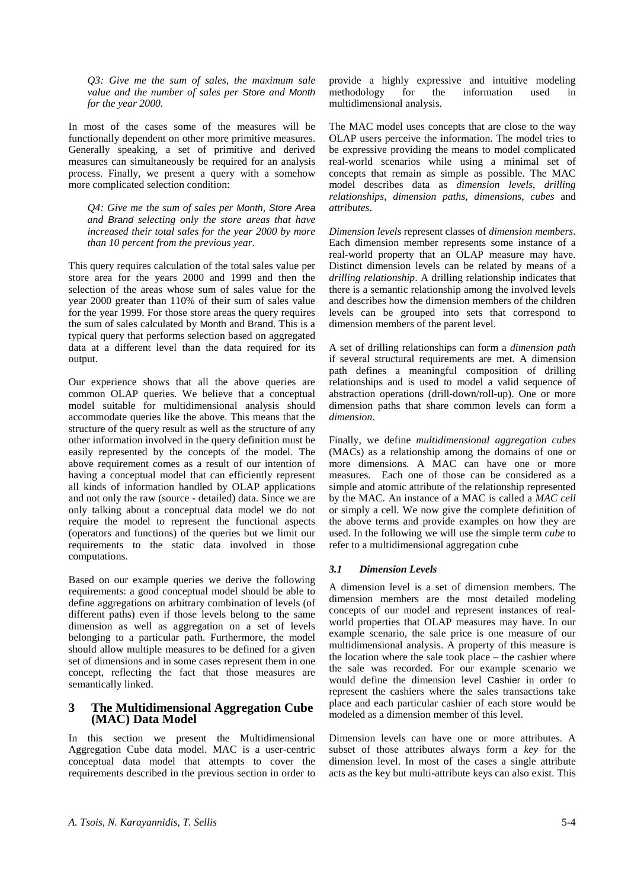*Q3: Give me the sum of sales, the maximum sale value and the number of sales per* Store *and* Month *for the year 2000.* 

In most of the cases some of the measures will be functionally dependent on other more primitive measures. Generally speaking, a set of primitive and derived measures can simultaneously be required for an analysis process. Finally, we present a query with a somehow more complicated selection condition:

*Q4: Give me the sum of sales per* Month*,* Store Area *and* Brand *selecting only the store areas that have increased their total sales for the year 2000 by more than 10 percent from the previous year.* 

This query requires calculation of the total sales value per store area for the years 2000 and 1999 and then the selection of the areas whose sum of sales value for the year 2000 greater than 110% of their sum of sales value for the year 1999. For those store areas the query requires the sum of sales calculated by Month and Brand. This is a typical query that performs selection based on aggregated data at a different level than the data required for its output.

Our experience shows that all the above queries are common OLAP queries. We believe that a conceptual model suitable for multidimensional analysis should accommodate queries like the above. This means that the structure of the query result as well as the structure of any other information involved in the query definition must be easily represented by the concepts of the model. The above requirement comes as a result of our intention of having a conceptual model that can efficiently represent all kinds of information handled by OLAP applications and not only the raw (source - detailed) data. Since we are only talking about a conceptual data model we do not require the model to represent the functional aspects (operators and functions) of the queries but we limit our requirements to the static data involved in those computations.

Based on our example queries we derive the following requirements: a good conceptual model should be able to define aggregations on arbitrary combination of levels (of different paths) even if those levels belong to the same dimension as well as aggregation on a set of levels belonging to a particular path. Furthermore, the model should allow multiple measures to be defined for a given set of dimensions and in some cases represent them in one concept, reflecting the fact that those measures are semantically linked.

## **3 The Multidimensional Aggregation Cube (MAC) Data Model**

In this section we present the Multidimensional Aggregation Cube data model. MAC is a user-centric conceptual data model that attempts to cover the requirements described in the previous section in order to

provide a highly expressive and intuitive modeling methodology for the information used in multidimensional analysis.

The MAC model uses concepts that are close to the way OLAP users perceive the information. The model tries to be expressive providing the means to model complicated real-world scenarios while using a minimal set of concepts that remain as simple as possible. The MAC model describes data as *dimension levels*, *drilling relationships*, *dimension paths*, *dimensions*, *cubes* and *attributes*.

*Dimension levels* represent classes of *dimension members*. Each dimension member represents some instance of a real-world property that an OLAP measure may have. Distinct dimension levels can be related by means of a *drilling relationship*. A drilling relationship indicates that there is a semantic relationship among the involved levels and describes how the dimension members of the children levels can be grouped into sets that correspond to dimension members of the parent level.

A set of drilling relationships can form a *dimension path*  if several structural requirements are met. A dimension path defines a meaningful composition of drilling relationships and is used to model a valid sequence of abstraction operations (drill-down/roll-up). One or more dimension paths that share common levels can form a *dimension*.

Finally, we define *multidimensional aggregation cubes* (MACs) as a relationship among the domains of one or more dimensions. A MAC can have one or more measures. Each one of those can be considered as a simple and atomic attribute of the relationship represented by the MAC. An instance of a MAC is called a *MAC cell* or simply a cell. We now give the complete definition of the above terms and provide examples on how they are used. In the following we will use the simple term *cube* to refer to a multidimensional aggregation cube

## *3.1 Dimension Levels*

A dimension level is a set of dimension members. The dimension members are the most detailed modeling concepts of our model and represent instances of realworld properties that OLAP measures may have. In our example scenario, the sale price is one measure of our multidimensional analysis. A property of this measure is the location where the sale took place – the cashier where the sale was recorded. For our example scenario we would define the dimension level Cashier in order to represent the cashiers where the sales transactions take place and each particular cashier of each store would be modeled as a dimension member of this level.

Dimension levels can have one or more attributes. A subset of those attributes always form a *key* for the dimension level. In most of the cases a single attribute acts as the key but multi-attribute keys can also exist. This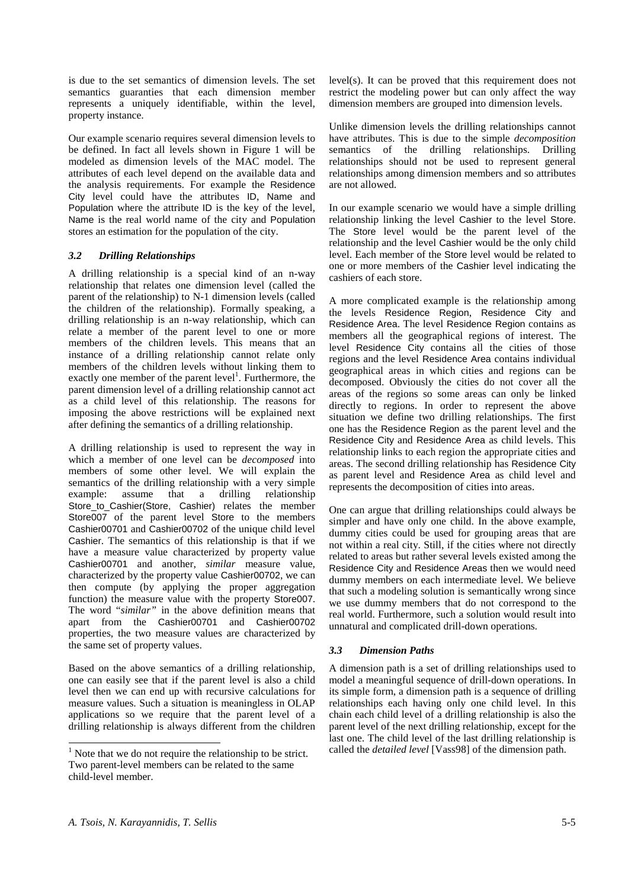is due to the set semantics of dimension levels. The set semantics guaranties that each dimension member represents a uniquely identifiable, within the level, property instance.

Our example scenario requires several dimension levels to be defined. In fact all levels shown in Figure 1 will be modeled as dimension levels of the MAC model. The attributes of each level depend on the available data and the analysis requirements. For example the Residence City level could have the attributes ID, Name and Population where the attribute ID is the key of the level, Name is the real world name of the city and Population stores an estimation for the population of the city.

## *3.2 Drilling Relationships*

A drilling relationship is a special kind of an n-way relationship that relates one dimension level (called the parent of the relationship) to N-1 dimension levels (called the children of the relationship). Formally speaking, a drilling relationship is an n-way relationship, which can relate a member of the parent level to one or more members of the children levels. This means that an instance of a drilling relationship cannot relate only members of the children levels without linking them to exactly one member of the parent level<sup>1</sup>. Furthermore, the parent dimension level of a drilling relationship cannot act as a child level of this relationship. The reasons for imposing the above restrictions will be explained next after defining the semantics of a drilling relationship.

A drilling relationship is used to represent the way in which a member of one level can be *decomposed* into members of some other level. We will explain the semantics of the drilling relationship with a very simple example: assume that a drilling relationship Store\_to\_Cashier(Store, Cashier) relates the member Store007 of the parent level Store to the members Cashier00701 and Cashier00702 of the unique child level Cashier. The semantics of this relationship is that if we have a measure value characterized by property value Cashier00701 and another, *similar* measure value, characterized by the property value Cashier00702, we can then compute (by applying the proper aggregation function) the measure value with the property Store007. The word "*similar"* in the above definition means that apart from the Cashier00701 and Cashier00702 properties, the two measure values are characterized by the same set of property values.

Based on the above semantics of a drilling relationship, one can easily see that if the parent level is also a child level then we can end up with recursive calculations for measure values. Such a situation is meaningless in OLAP applications so we require that the parent level of a drilling relationship is always different from the children level(s). It can be proved that this requirement does not restrict the modeling power but can only affect the way dimension members are grouped into dimension levels.

Unlike dimension levels the drilling relationships cannot have attributes. This is due to the simple *decomposition* semantics of the drilling relationships. Drilling relationships should not be used to represent general relationships among dimension members and so attributes are not allowed.

In our example scenario we would have a simple drilling relationship linking the level Cashier to the level Store. The Store level would be the parent level of the relationship and the level Cashier would be the only child level. Each member of the Store level would be related to one or more members of the Cashier level indicating the cashiers of each store.

A more complicated example is the relationship among the levels Residence Region, Residence City and Residence Area. The level Residence Region contains as members all the geographical regions of interest. The level Residence City contains all the cities of those regions and the level Residence Area contains individual geographical areas in which cities and regions can be decomposed. Obviously the cities do not cover all the areas of the regions so some areas can only be linked directly to regions. In order to represent the above situation we define two drilling relationships. The first one has the Residence Region as the parent level and the Residence City and Residence Area as child levels. This relationship links to each region the appropriate cities and areas. The second drilling relationship has Residence City as parent level and Residence Area as child level and represents the decomposition of cities into areas.

One can argue that drilling relationships could always be simpler and have only one child. In the above example, dummy cities could be used for grouping areas that are not within a real city. Still, if the cities where not directly related to areas but rather several levels existed among the Residence City and Residence Areas then we would need dummy members on each intermediate level. We believe that such a modeling solution is semantically wrong since we use dummy members that do not correspond to the real world. Furthermore, such a solution would result into unnatural and complicated drill-down operations.

# *3.3 Dimension Paths*

A dimension path is a set of drilling relationships used to model a meaningful sequence of drill-down operations. In its simple form, a dimension path is a sequence of drilling relationships each having only one child level. In this chain each child level of a drilling relationship is also the parent level of the next drilling relationship, except for the last one. The child level of the last drilling relationship is called the *detailed level* [Vass98] of the dimension path.

<sup>&</sup>lt;sup>1</sup> Note that we do not require the relationship to be strict. Two parent-level members can be related to the same child-level member.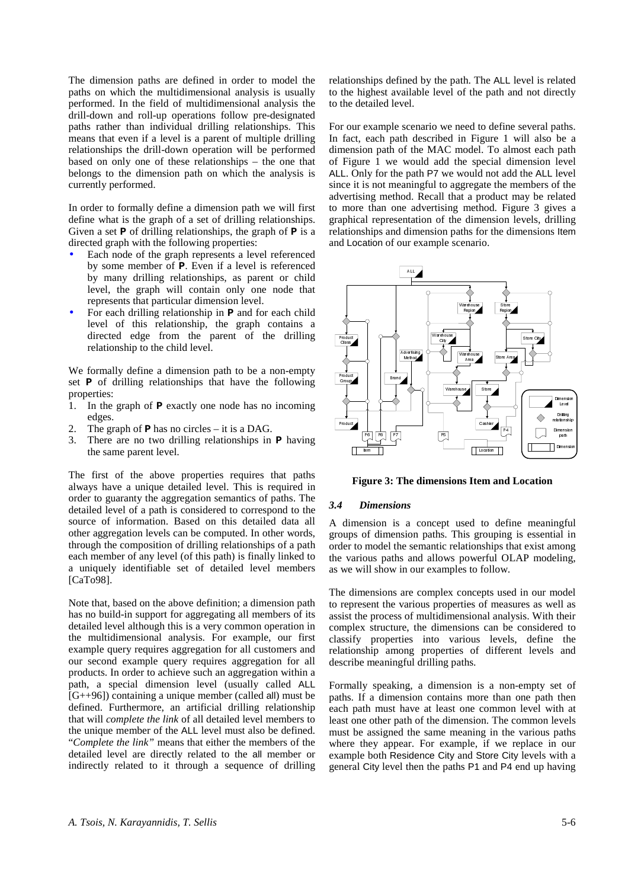The dimension paths are defined in order to model the paths on which the multidimensional analysis is usually performed. In the field of multidimensional analysis the drill-down and roll-up operations follow pre-designated paths rather than individual drilling relationships. This means that even if a level is a parent of multiple drilling relationships the drill-down operation will be performed based on only one of these relationships – the one that belongs to the dimension path on which the analysis is currently performed.

In order to formally define a dimension path we will first define what is the graph of a set of drilling relationships. Given a set **P** of drilling relationships, the graph of **P** is a directed graph with the following properties:

- Each node of the graph represents a level referenced by some member of **P**. Even if a level is referenced by many drilling relationships, as parent or child level, the graph will contain only one node that represents that particular dimension level.
- For each drilling relationship in **P** and for each child level of this relationship, the graph contains a directed edge from the parent of the drilling relationship to the child level.

We formally define a dimension path to be a non-empty set **P** of drilling relationships that have the following properties:

- 1. In the graph of **P** exactly one node has no incoming edges.
- 2. The graph of **P** has no circles it is a DAG.
- 3. There are no two drilling relationships in **P** having the same parent level.

The first of the above properties requires that paths always have a unique detailed level. This is required in order to guaranty the aggregation semantics of paths. The detailed level of a path is considered to correspond to the source of information. Based on this detailed data all other aggregation levels can be computed. In other words, through the composition of drilling relationships of a path each member of any level (of this path) is finally linked to a uniquely identifiable set of detailed level members [CaTo98].

Note that, based on the above definition; a dimension path has no build-in support for aggregating all members of its detailed level although this is a very common operation in the multidimensional analysis. For example, our first example query requires aggregation for all customers and our second example query requires aggregation for all products. In order to achieve such an aggregation within a path, a special dimension level (usually called ALL  $[G++96]$ ) containing a unique member (called all) must be defined. Furthermore, an artificial drilling relationship that will *complete the link* of all detailed level members to the unique member of the ALL level must also be defined. "*Complete the link"* means that either the members of the detailed level are directly related to the all member or indirectly related to it through a sequence of drilling relationships defined by the path. The ALL level is related to the highest available level of the path and not directly to the detailed level.

For our example scenario we need to define several paths. In fact, each path described in Figure 1 will also be a dimension path of the MAC model. To almost each path of Figure 1 we would add the special dimension level ALL. Only for the path P7 we would not add the ALL level since it is not meaningful to aggregate the members of the advertising method. Recall that a product may be related to more than one advertising method. Figure 3 gives a graphical representation of the dimension levels, drilling relationships and dimension paths for the dimensions Item and Location of our example scenario.



**Figure 3: The dimensions Item and Location** 

## *3.4 Dimensions*

A dimension is a concept used to define meaningful groups of dimension paths. This grouping is essential in order to model the semantic relationships that exist among the various paths and allows powerful OLAP modeling, as we will show in our examples to follow.

The dimensions are complex concepts used in our model to represent the various properties of measures as well as assist the process of multidimensional analysis. With their complex structure, the dimensions can be considered to classify properties into various levels, define the relationship among properties of different levels and describe meaningful drilling paths.

Formally speaking, a dimension is a non-empty set of paths. If a dimension contains more than one path then each path must have at least one common level with at least one other path of the dimension. The common levels must be assigned the same meaning in the various paths where they appear. For example, if we replace in our example both Residence City and Store City levels with a general City level then the paths P1 and P4 end up having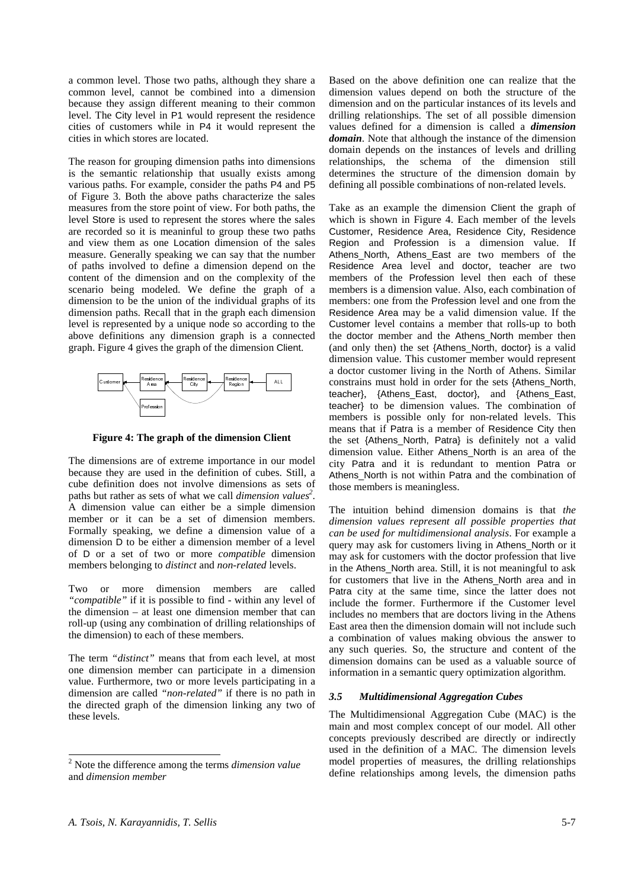a common level. Those two paths, although they share a common level, cannot be combined into a dimension because they assign different meaning to their common level. The City level in P1 would represent the residence cities of customers while in P4 it would represent the cities in which stores are located.

The reason for grouping dimension paths into dimensions is the semantic relationship that usually exists among various paths. For example, consider the paths P4 and P5 of Figure 3. Both the above paths characterize the sales measures from the store point of view. For both paths, the level Store is used to represent the stores where the sales are recorded so it is meaninful to group these two paths and view them as one Location dimension of the sales measure. Generally speaking we can say that the number of paths involved to define a dimension depend on the content of the dimension and on the complexity of the scenario being modeled. We define the graph of a dimension to be the union of the individual graphs of its dimension paths. Recall that in the graph each dimension level is represented by a unique node so according to the above definitions any dimension graph is a connected graph. Figure 4 gives the graph of the dimension Client.



**Figure 4: The graph of the dimension Client** 

The dimensions are of extreme importance in our model because they are used in the definition of cubes. Still, a cube definition does not involve dimensions as sets of paths but rather as sets of what we call *dimension values*<sup>2</sup>. A dimension value can either be a simple dimension member or it can be a set of dimension members. Formally speaking, we define a dimension value of a dimension D to be either a dimension member of a level of D or a set of two or more *compatible* dimension members belonging to *distinct* and *non-related* levels.

Two or more dimension members are called *"compatible"* if it is possible to find - within any level of the dimension – at least one dimension member that can roll-up (using any combination of drilling relationships of the dimension) to each of these members.

The term *"distinct"* means that from each level, at most one dimension member can participate in a dimension value. Furthermore, two or more levels participating in a dimension are called *"non-related"* if there is no path in the directed graph of the dimension linking any two of these levels.

Based on the above definition one can realize that the dimension values depend on both the structure of the dimension and on the particular instances of its levels and drilling relationships. The set of all possible dimension values defined for a dimension is called a *dimension domain*. Note that although the instance of the dimension domain depends on the instances of levels and drilling relationships, the schema of the dimension still determines the structure of the dimension domain by defining all possible combinations of non-related levels.

Take as an example the dimension Client the graph of which is shown in Figure 4. Each member of the levels Customer, Residence Area, Residence City, Residence Region and Profession is a dimension value. If Athens North, Athens East are two members of the Residence Area level and doctor, teacher are two members of the Profession level then each of these members is a dimension value. Also, each combination of members: one from the Profession level and one from the Residence Area may be a valid dimension value. If the Customer level contains a member that rolls-up to both the doctor member and the Athens\_North member then (and only then) the set {Athens\_North, doctor} is a valid dimension value. This customer member would represent a doctor customer living in the North of Athens. Similar constrains must hold in order for the sets {Athens\_North, teacher}, {Athens\_East, doctor}, and {Athens\_East, teacher} to be dimension values. The combination of members is possible only for non-related levels. This means that if Patra is a member of Residence City then the set {Athens\_North, Patra} is definitely not a valid dimension value. Either Athens\_North is an area of the city Patra and it is redundant to mention Patra or Athens\_North is not within Patra and the combination of those members is meaningless.

The intuition behind dimension domains is that *the dimension values represent all possible properties that can be used for multidimensional analysis*. For example a query may ask for customers living in Athens\_North or it may ask for customers with the doctor profession that live in the Athens\_North area. Still, it is not meaningful to ask for customers that live in the Athens\_North area and in Patra city at the same time, since the latter does not include the former. Furthermore if the Customer level includes no members that are doctors living in the Athens East area then the dimension domain will not include such a combination of values making obvious the answer to any such queries. So, the structure and content of the dimension domains can be used as a valuable source of information in a semantic query optimization algorithm.

#### *3.5 Multidimensional Aggregation Cubes*

The Multidimensional Aggregation Cube (MAC) is the main and most complex concept of our model. All other concepts previously described are directly or indirectly used in the definition of a MAC. The dimension levels model properties of measures, the drilling relationships define relationships among levels, the dimension paths

 2 Note the difference among the terms *dimension value* and *dimension member*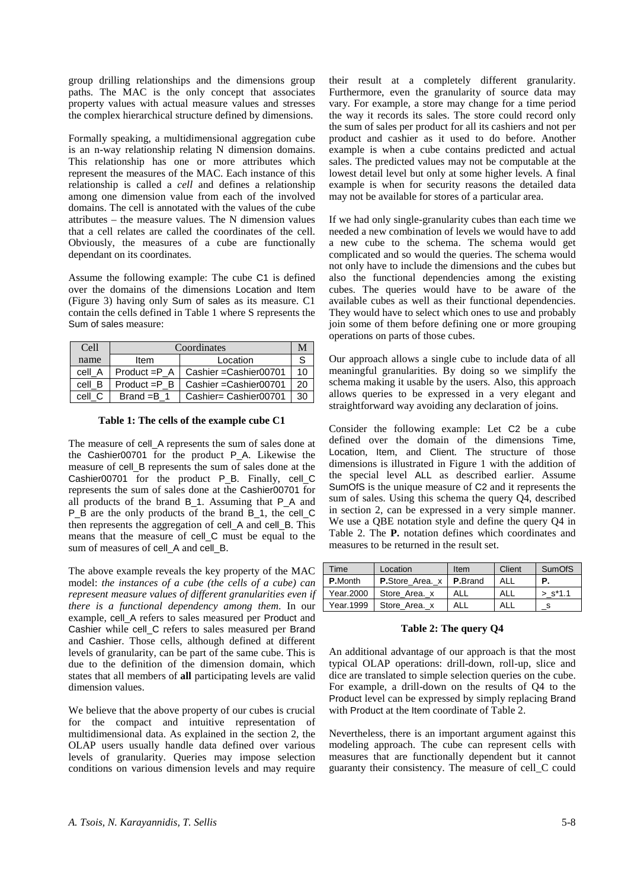group drilling relationships and the dimensions group paths. The MAC is the only concept that associates property values with actual measure values and stresses the complex hierarchical structure defined by dimensions.

Formally speaking, a multidimensional aggregation cube is an n-way relationship relating N dimension domains. This relationship has one or more attributes which represent the measures of the MAC. Each instance of this relationship is called a *cell* and defines a relationship among one dimension value from each of the involved domains. The cell is annotated with the values of the cube attributes – the measure values. The N dimension values that a cell relates are called the coordinates of the cell. Obviously, the measures of a cube are functionally dependant on its coordinates.

Assume the following example: The cube C1 is defined over the domains of the dimensions Location and Item (Figure 3) having only Sum of sales as its measure. C1 contain the cells defined in Table 1 where S represents the Sum of sales measure:

| Cell   | Coordinates     |                         |      |  |  |  |
|--------|-----------------|-------------------------|------|--|--|--|
| name   | Item            | Location                |      |  |  |  |
| cell A | $Product = P A$ | Cashier = Cashier 00701 | 10   |  |  |  |
| cell B | $Product = P B$ | Cashier = Cashier 00701 | 20   |  |  |  |
| cell C | Brand $=B$ 1    | Cashier= Cashier00701   | - 30 |  |  |  |

**Table 1: The cells of the example cube C1** 

The measure of cell\_A represents the sum of sales done at the Cashier00701 for the product P\_A. Likewise the measure of cell\_B represents the sum of sales done at the Cashier00701 for the product P\_B. Finally, cell\_C represents the sum of sales done at the Cashier00701 for all products of the brand B\_1. Assuming that P\_A and P\_B are the only products of the brand B\_1, the cell\_C then represents the aggregation of cell\_A and cell\_B. This means that the measure of cell\_C must be equal to the sum of measures of cell\_A and cell\_B.

The above example reveals the key property of the MAC model: *the instances of a cube (the cells of a cube) can represent measure values of different granularities even if there is a functional dependency among them*. In our example, cell\_A refers to sales measured per Product and Cashier while cell\_C refers to sales measured per Brand and Cashier. Those cells, although defined at different levels of granularity, can be part of the same cube. This is due to the definition of the dimension domain, which states that all members of **all** participating levels are valid dimension values.

We believe that the above property of our cubes is crucial for the compact and intuitive representation of multidimensional data. As explained in the section 2, the OLAP users usually handle data defined over various levels of granularity. Queries may impose selection conditions on various dimension levels and may require their result at a completely different granularity. Furthermore, even the granularity of source data may vary. For example, a store may change for a time period the way it records its sales. The store could record only the sum of sales per product for all its cashiers and not per product and cashier as it used to do before. Another example is when a cube contains predicted and actual sales. The predicted values may not be computable at the lowest detail level but only at some higher levels. A final example is when for security reasons the detailed data may not be available for stores of a particular area.

If we had only single-granularity cubes than each time we needed a new combination of levels we would have to add a new cube to the schema. The schema would get complicated and so would the queries. The schema would not only have to include the dimensions and the cubes but also the functional dependencies among the existing cubes. The queries would have to be aware of the available cubes as well as their functional dependencies. They would have to select which ones to use and probably join some of them before defining one or more grouping operations on parts of those cubes.

Our approach allows a single cube to include data of all meaningful granularities. By doing so we simplify the schema making it usable by the users. Also, this approach allows queries to be expressed in a very elegant and straightforward way avoiding any declaration of joins.

Consider the following example: Let C2 be a cube defined over the domain of the dimensions Time, Location, Item, and Client. The structure of those dimensions is illustrated in Figure 1 with the addition of the special level ALL as described earlier. Assume SumOfS is the unique measure of C2 and it represents the sum of sales. Using this schema the query Q4, described in section 2, can be expressed in a very simple manner. We use a QBE notation style and define the query Q4 in Table 2. The **P.** notation defines which coordinates and measures to be returned in the result set.

| Time           | Location                                  | Item       | Client | <b>SumOfS</b>         |
|----------------|-------------------------------------------|------------|--------|-----------------------|
| <b>P.Month</b> | <b>P.</b> Store Area. x   <b>P.</b> Brand |            | ALL    | Р.                    |
| Year, 2000     | Store Area. x                             | <b>ALL</b> | ALL    | $>$ s <sup>*1.1</sup> |
| Year.1999      | Store Area. x                             | ALL        | AII    |                       |

#### **Table 2: The query Q4**

An additional advantage of our approach is that the most typical OLAP operations: drill-down, roll-up, slice and dice are translated to simple selection queries on the cube. For example, a drill-down on the results of Q4 to the Product level can be expressed by simply replacing Brand with Product at the Item coordinate of Table 2.

Nevertheless, there is an important argument against this modeling approach. The cube can represent cells with measures that are functionally dependent but it cannot guaranty their consistency. The measure of cell\_C could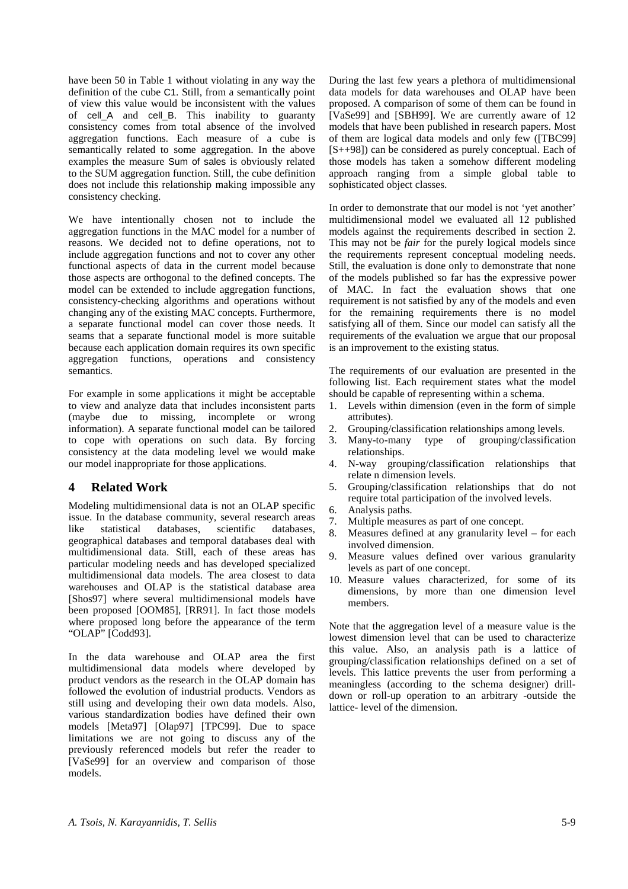have been 50 in Table 1 without violating in any way the definition of the cube C1. Still, from a semantically point of view this value would be inconsistent with the values of cell\_A and cell\_B. This inability to guaranty consistency comes from total absence of the involved aggregation functions. Each measure of a cube is semantically related to some aggregation. In the above examples the measure Sum of sales is obviously related to the SUM aggregation function. Still, the cube definition does not include this relationship making impossible any consistency checking.

We have intentionally chosen not to include the aggregation functions in the MAC model for a number of reasons. We decided not to define operations, not to include aggregation functions and not to cover any other functional aspects of data in the current model because those aspects are orthogonal to the defined concepts. The model can be extended to include aggregation functions, consistency-checking algorithms and operations without changing any of the existing MAC concepts. Furthermore, a separate functional model can cover those needs. It seams that a separate functional model is more suitable because each application domain requires its own specific aggregation functions, operations and consistency semantics.

For example in some applications it might be acceptable to view and analyze data that includes inconsistent parts (maybe due to missing, incomplete or wrong information). A separate functional model can be tailored to cope with operations on such data. By forcing consistency at the data modeling level we would make our model inappropriate for those applications.

# **4 Related Work**

Modeling multidimensional data is not an OLAP specific issue. In the database community, several research areas like statistical databases, scientific databases, geographical databases and temporal databases deal with multidimensional data. Still, each of these areas has particular modeling needs and has developed specialized multidimensional data models. The area closest to data warehouses and OLAP is the statistical database area [Shos97] where several multidimensional models have been proposed [OOM85], [RR91]. In fact those models where proposed long before the appearance of the term "OLAP" [Codd93].

In the data warehouse and OLAP area the first multidimensional data models where developed by product vendors as the research in the OLAP domain has followed the evolution of industrial products. Vendors as still using and developing their own data models. Also, various standardization bodies have defined their own models [Meta97] [Olap97] [TPC99]. Due to space limitations we are not going to discuss any of the previously referenced models but refer the reader to [VaSe99] for an overview and comparison of those models.

During the last few years a plethora of multidimensional data models for data warehouses and OLAP have been proposed. A comparison of some of them can be found in [VaSe99] and [SBH99]. We are currently aware of 12 models that have been published in research papers. Most of them are logical data models and only few ([TBC99] [S++98]) can be considered as purely conceptual. Each of those models has taken a somehow different modeling approach ranging from a simple global table to sophisticated object classes.

In order to demonstrate that our model is not 'yet another' multidimensional model we evaluated all 12 published models against the requirements described in section 2. This may not be *fair* for the purely logical models since the requirements represent conceptual modeling needs. Still, the evaluation is done only to demonstrate that none of the models published so far has the expressive power of MAC. In fact the evaluation shows that one requirement is not satisfied by any of the models and even for the remaining requirements there is no model satisfying all of them. Since our model can satisfy all the requirements of the evaluation we argue that our proposal is an improvement to the existing status.

The requirements of our evaluation are presented in the following list. Each requirement states what the model should be capable of representing within a schema.

- 1. Levels within dimension (even in the form of simple attributes).
- 2. Grouping/classification relationships among levels.
- 3. Many-to-many type of grouping/classification relationships.
- 4. N-way grouping/classification relationships that relate n dimension levels.
- 5. Grouping/classification relationships that do not require total participation of the involved levels.
- 6. Analysis paths.
- 7. Multiple measures as part of one concept.
- 8. Measures defined at any granularity level for each involved dimension.
- 9. Measure values defined over various granularity levels as part of one concept.
- 10. Measure values characterized, for some of its dimensions, by more than one dimension level members.

Note that the aggregation level of a measure value is the lowest dimension level that can be used to characterize this value. Also, an analysis path is a lattice of grouping/classification relationships defined on a set of levels. This lattice prevents the user from performing a meaningless (according to the schema designer) drilldown or roll-up operation to an arbitrary -outside the lattice- level of the dimension.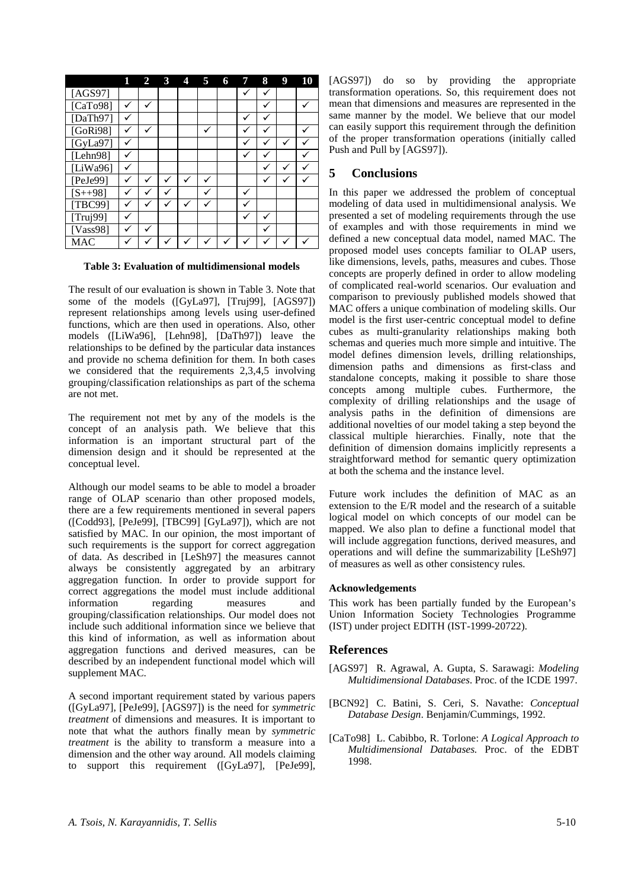|              |   | $\mathbf 2$ | 3 | 4 | 5            | 6 | 7            | 8            | 9                    | 10 |
|--------------|---|-------------|---|---|--------------|---|--------------|--------------|----------------------|----|
| [ $AGS97$ ]  |   |             |   |   |              |   |              |              |                      |    |
| [ $CaTo98$ ] | √ |             |   |   |              |   |              |              |                      |    |
| [ $DaTh97$ ] | ✓ |             |   |   |              |   | $\checkmark$ | $\checkmark$ |                      |    |
| [ $GoRi98$ ] | ✓ | ✓           |   |   |              |   |              |              |                      |    |
| [GyLa97]     |   |             |   |   |              |   |              |              | $\ddot{\phantom{0}}$ |    |
| [Lehn $98$ ] | ✓ |             |   |   |              |   |              | √            |                      |    |
| [LiWa96]     | ✓ |             |   |   |              |   |              |              | v                    |    |
| [ $PeJe99$ ] |   | ✓           | √ |   |              |   |              |              |                      |    |
| $[S++98]$    | √ | √           | √ |   | $\checkmark$ |   |              |              |                      |    |
| [TBC99]      |   |             |   |   |              |   |              |              |                      |    |
| [Truj99]     |   |             |   |   |              |   |              |              |                      |    |
| [ $Vass98$ ] | v | √           |   |   |              |   |              | ✓            |                      |    |
| <b>MAC</b>   |   |             |   |   |              |   |              |              |                      |    |

**Table 3: Evaluation of multidimensional models** 

The result of our evaluation is shown in Table 3. Note that some of the models ([GyLa97], [Truj99], [AGS97]) represent relationships among levels using user-defined functions, which are then used in operations. Also, other models ([LiWa96], [Lehn98], [DaTh97]) leave the relationships to be defined by the particular data instances and provide no schema definition for them. In both cases we considered that the requirements 2,3,4,5 involving grouping/classification relationships as part of the schema are not met.

The requirement not met by any of the models is the concept of an analysis path. We believe that this information is an important structural part of the dimension design and it should be represented at the conceptual level.

Although our model seams to be able to model a broader range of OLAP scenario than other proposed models, there are a few requirements mentioned in several papers ([Codd93], [PeJe99], [TBC99] [GyLa97]), which are not satisfied by MAC. In our opinion, the most important of such requirements is the support for correct aggregation of data. As described in [LeSh97] the measures cannot always be consistently aggregated by an arbitrary aggregation function. In order to provide support for correct aggregations the model must include additional information regarding measures and grouping/classification relationships. Our model does not include such additional information since we believe that this kind of information, as well as information about aggregation functions and derived measures, can be described by an independent functional model which will supplement MAC.

A second important requirement stated by various papers ([GyLa97], [PeJe99], [AGS97]) is the need for *symmetric treatment* of dimensions and measures. It is important to note that what the authors finally mean by *symmetric treatment* is the ability to transform a measure into a dimension and the other way around. All models claiming to support this requirement ([GyLa97], [PeJe99],

[AGS97]) do so by providing the appropriate transformation operations. So, this requirement does not mean that dimensions and measures are represented in the same manner by the model. We believe that our model can easily support this requirement through the definition of the proper transformation operations (initially called Push and Pull by [AGS97]).

# **5 Conclusions**

In this paper we addressed the problem of conceptual modeling of data used in multidimensional analysis. We presented a set of modeling requirements through the use of examples and with those requirements in mind we defined a new conceptual data model, named MAC. The proposed model uses concepts familiar to OLAP users, like dimensions, levels, paths, measures and cubes. Those concepts are properly defined in order to allow modeling of complicated real-world scenarios. Our evaluation and comparison to previously published models showed that MAC offers a unique combination of modeling skills. Our model is the first user-centric conceptual model to define cubes as multi-granularity relationships making both schemas and queries much more simple and intuitive. The model defines dimension levels, drilling relationships, dimension paths and dimensions as first-class and standalone concepts, making it possible to share those concepts among multiple cubes. Furthermore, the complexity of drilling relationships and the usage of analysis paths in the definition of dimensions are additional novelties of our model taking a step beyond the classical multiple hierarchies. Finally, note that the definition of dimension domains implicitly represents a straightforward method for semantic query optimization at both the schema and the instance level.

Future work includes the definition of MAC as an extension to the E/R model and the research of a suitable logical model on which concepts of our model can be mapped. We also plan to define a functional model that will include aggregation functions, derived measures, and operations and will define the summarizability [LeSh97] of measures as well as other consistency rules.

## **Acknowledgements**

This work has been partially funded by the European's Union Information Society Technologies Programme (IST) under project EDITH (IST-1999-20722).

# **References**

- [AGS97] R. Agrawal, A. Gupta, S. Sarawagi: *Modeling Multidimensional Databases*. Proc. of the ICDE 1997.
- [BCN92] C. Batini, S. Ceri, S. Navathe: *Conceptual Database Design*. Benjamin/Cummings, 1992.
- [CaTo98] L. Cabibbo, R. Torlone: *A Logical Approach to Multidimensional Databases.* Proc. of the EDBT 1998.